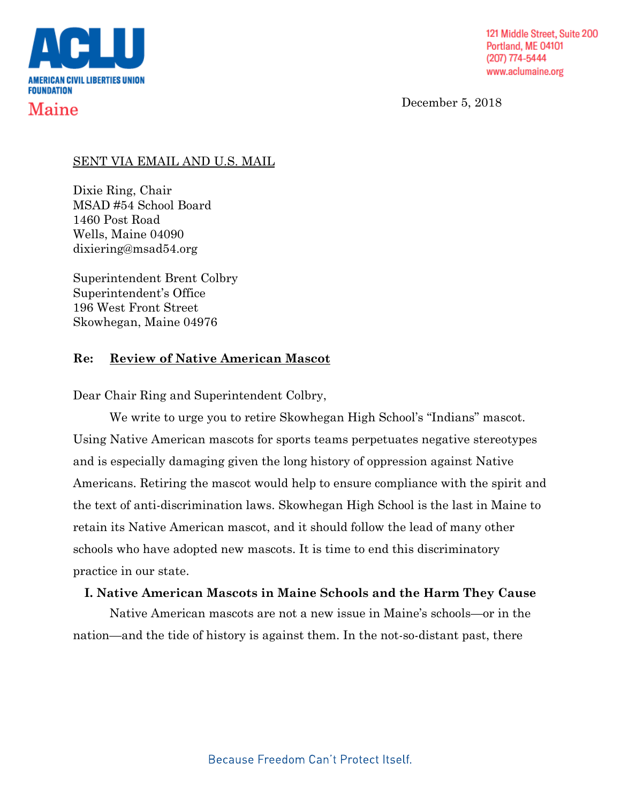

December 5, 2018

### SENT VIA EMAIL AND U.S. MAIL

Dixie Ring, Chair MSAD #54 School Board 1460 Post Road Wells, Maine 04090 dixiering@msad54.org

Superintendent Brent Colbry Superintendent's Office 196 West Front Street Skowhegan, Maine 04976

## **Re: Review of Native American Mascot**

Dear Chair Ring and Superintendent Colbry,

We write to urge you to retire Skowhegan High School's "Indians" mascot. Using Native American mascots for sports teams perpetuates negative stereotypes and is especially damaging given the long history of oppression against Native Americans. Retiring the mascot would help to ensure compliance with the spirit and the text of anti-discrimination laws. Skowhegan High School is the last in Maine to retain its Native American mascot, and it should follow the lead of many other schools who have adopted new mascots. It is time to end this discriminatory practice in our state.

# **I. Native American Mascots in Maine Schools and the Harm They Cause**

Native American mascots are not a new issue in Maine's schools—or in the nation—and the tide of history is against them. In the not-so-distant past, there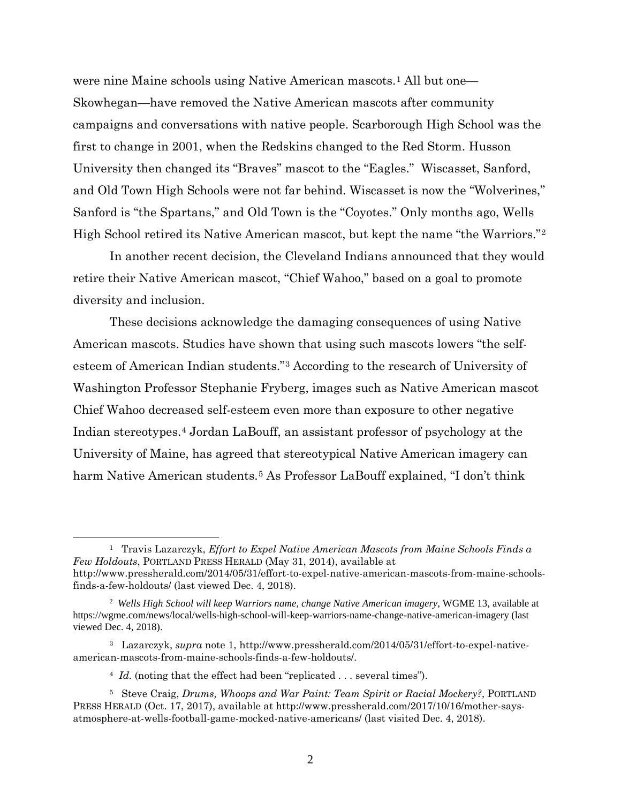were nine Maine schools using Native American mascots.<sup>[1](#page-1-0)</sup> All but one— Skowhegan—have removed the Native American mascots after community campaigns and conversations with native people. Scarborough High School was the first to change in 2001, when the Redskins changed to the Red Storm. Husson University then changed its "Braves" mascot to the "Eagles." Wiscasset, Sanford, and Old Town High Schools were not far behind. Wiscasset is now the "Wolverines," Sanford is "the Spartans," and Old Town is the "Coyotes." Only months ago, Wells High School retired its Native American mascot, but kept the name "the Warriors."[2](#page-1-1)

In another recent decision, the Cleveland Indians announced that they would retire their Native American mascot, "Chief Wahoo," based on a goal to promote diversity and inclusion.

These decisions acknowledge the damaging consequences of using Native American mascots. Studies have shown that using such mascots lowers "the selfesteem of American Indian students."[3](#page-1-2) According to the research of University of Washington Professor Stephanie Fryberg, images such as Native American mascot Chief Wahoo decreased self-esteem even more than exposure to other negative Indian stereotypes.[4](#page-1-3) Jordan LaBouff, an assistant professor of psychology at the University of Maine, has agreed that stereotypical Native American imagery can harm Native American students.<sup>[5](#page-1-4)</sup> As Professor LaBouff explained, "I don't think

 $\overline{a}$ 

<span id="page-1-0"></span><sup>1</sup> Travis Lazarczyk, *Effort to Expel Native American Mascots from Maine Schools Finds a Few Holdouts*, PORTLAND PRESS HERALD (May 31, 2014), available at http://www.pressherald.com/2014/05/31/effort-to-expel-native-american-mascots-from-maine-schoolsfinds-a-few-holdouts/ (last viewed Dec. 4, 2018).

<span id="page-1-1"></span><sup>2</sup> *Wells High School will keep Warriors name, change Native American imagery*, WGME 13, available at https://wgme.com/news/local/wells-high-school-will-keep-warriors-name-change-native-american-imagery (last viewed Dec. 4, 2018).

<span id="page-1-2"></span><sup>3</sup> Lazarczyk, *supra* note 1, http://www.pressherald.com/2014/05/31/effort-to-expel-nativeamerican-mascots-from-maine-schools-finds-a-few-holdouts/.

<sup>&</sup>lt;sup>4</sup> *Id.* (noting that the effect had been "replicated . . . several times").

<span id="page-1-4"></span><span id="page-1-3"></span><sup>5</sup> Steve Craig, *Drums, Whoops and War Paint: Team Spirit or Racial Mockery?*, PORTLAND PRESS HERALD (Oct. 17, 2017), available at http://www.pressherald.com/2017/10/16/mother-saysatmosphere-at-wells-football-game-mocked-native-americans/ (last visited Dec. 4, 2018).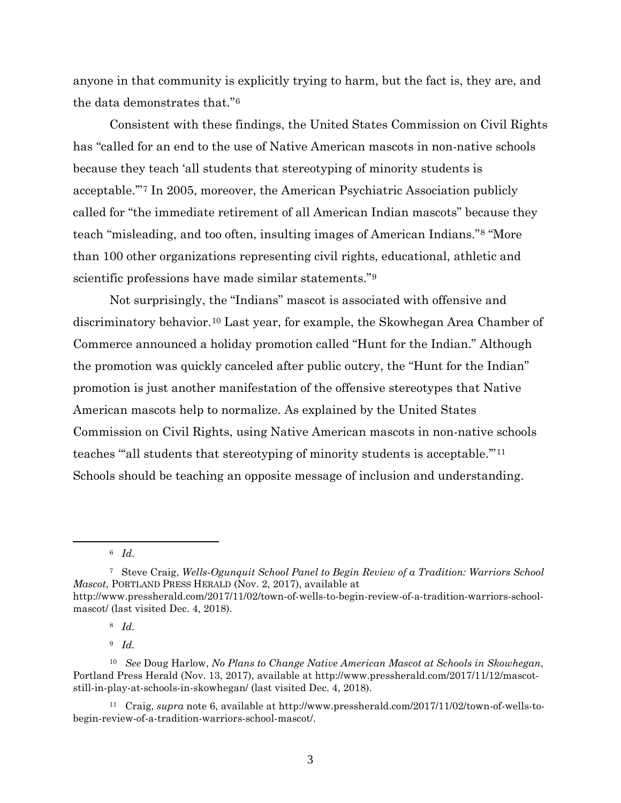anyone in that community is explicitly trying to harm, but the fact is, they are, and the data demonstrates that."[6](#page-2-0)

Consistent with these findings, the United States Commission on Civil Rights has "called for an end to the use of Native American mascots in non-native schools because they teach 'all students that stereotyping of minority students is acceptable.'"[7](#page-2-1) In 2005, moreover, the American Psychiatric Association publicly called for "the immediate retirement of all American Indian mascots" because they teach "misleading, and too often, insulting images of American Indians."[8](#page-2-2) "More than 100 other organizations representing civil rights, educational, athletic and scientific professions have made similar statements."[9](#page-2-3)

Not surprisingly, the "Indians" mascot is associated with offensive and discriminatory behavior.[10](#page-2-4) Last year, for example, the Skowhegan Area Chamber of Commerce announced a holiday promotion called "Hunt for the Indian." Although the promotion was quickly canceled after public outcry, the "Hunt for the Indian" promotion is just another manifestation of the offensive stereotypes that Native American mascots help to normalize. As explained by the United States Commission on Civil Rights, using Native American mascots in non-native schools teaches ""all students that stereotyping of minority students is acceptable."<sup>[11](#page-2-5)</sup> Schools should be teaching an opposite message of inclusion and understanding.

<span id="page-2-0"></span> $\overline{a}$ 

9 *Id.*

<span id="page-2-5"></span>11 Craig, *supra* note 6, available at http://www.pressherald.com/2017/11/02/town-of-wells-tobegin-review-of-a-tradition-warriors-school-mascot/.

<sup>6</sup> *Id.*

<span id="page-2-1"></span><sup>7</sup> Steve Craig, *Wells-Ogunquit School Panel to Begin Review of a Tradition: Warriors School Mascot*, PORTLAND PRESS HERALD (Nov. 2, 2017), available at http://www.pressherald.com/2017/11/02/town-of-wells-to-begin-review-of-a-tradition-warriors-schoolmascot/ (last visited Dec. 4, 2018).

<sup>8</sup> *Id.*

<span id="page-2-4"></span><span id="page-2-3"></span><span id="page-2-2"></span><sup>10</sup> *See* Doug Harlow, *No Plans to Change Native American Mascot at Schools in Skowhegan*, Portland Press Herald (Nov. 13, 2017), available at http://www.pressherald.com/2017/11/12/mascotstill-in-play-at-schools-in-skowhegan/ (last visited Dec. 4, 2018).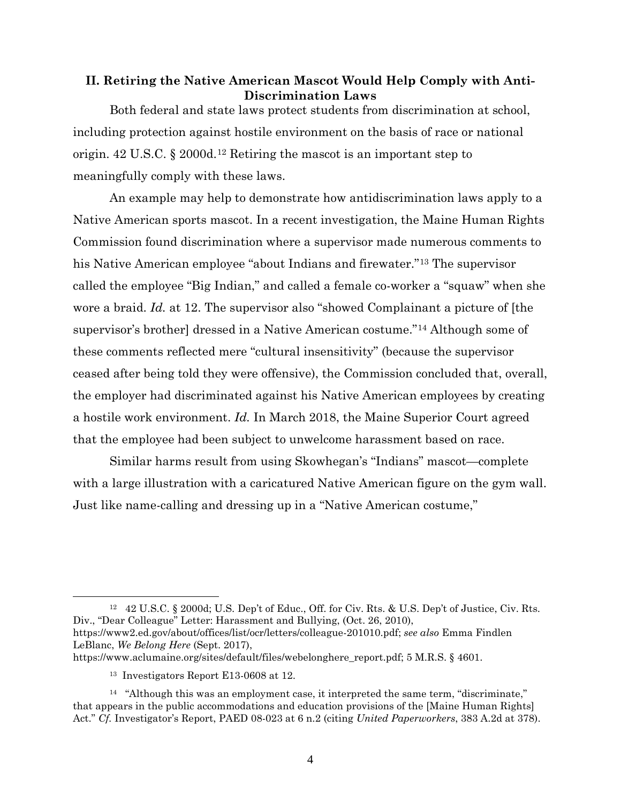#### **II. Retiring the Native American Mascot Would Help Comply with Anti-Discrimination Laws**

Both federal and state laws protect students from discrimination at school, including protection against hostile environment on the basis of race or national origin. 42 U.S.C. § 2000d.[12](#page-3-0) Retiring the mascot is an important step to meaningfully comply with these laws.

An example may help to demonstrate how antidiscrimination laws apply to a Native American sports mascot. In a recent investigation, the Maine Human Rights Commission found discrimination where a supervisor made numerous comments to his Native American employee "about Indians and firewater."[13](#page-3-1) The supervisor called the employee "Big Indian," and called a female co-worker a "squaw" when she wore a braid. *Id.* at 12. The supervisor also "showed Complainant a picture of [the supervisor's brother] dressed in a Native American costume."[14](#page-3-2) Although some of these comments reflected mere "cultural insensitivity" (because the supervisor ceased after being told they were offensive), the Commission concluded that, overall, the employer had discriminated against his Native American employees by creating a hostile work environment. *Id.* In March 2018, the Maine Superior Court agreed that the employee had been subject to unwelcome harassment based on race.

Similar harms result from using Skowhegan's "Indians" mascot—complete with a large illustration with a caricatured Native American figure on the gym wall. Just like name-calling and dressing up in a "Native American costume,"

<span id="page-3-0"></span>12 42 U.S.C. § 2000d; U.S. Dep't of Educ., Off. for Civ. Rts. & U.S. Dep't of Justice, Civ. Rts. Div., "Dear Colleague" Letter: Harassment and Bullying, (Oct. 26, 2010), https://www2.ed.gov/about/offices/list/ocr/letters/colleague-201010.pdf; *see also* Emma Findlen LeBlanc, *We Belong Here* (Sept. 2017), https://www.aclumaine.org/sites/default/files/webelonghere\_report.pdf; 5 M.R.S. § 4601.

 $\overline{a}$ 

<sup>13</sup> Investigators Report E13-0608 at 12.

<span id="page-3-2"></span><span id="page-3-1"></span> $14$  "Although this was an employment case, it interpreted the same term, "discriminate," that appears in the public accommodations and education provisions of the [Maine Human Rights] Act." *Cf.* Investigator's Report, PAED 08-023 at 6 n.2 (citing *United Paperworkers*, 383 A.2d at 378).